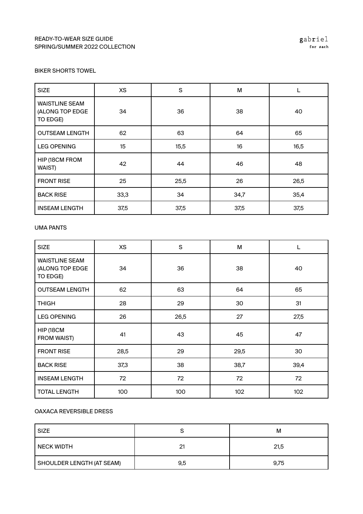### READY-TO-WEAR SIZE GUIDE SPRING/SUMMER 2022 COLLECTION

### BIKER SHORTS TOWEL

| <b>SIZE</b>                                          | <b>XS</b> | S    | M    |      |
|------------------------------------------------------|-----------|------|------|------|
| <b>WAISTLINE SEAM</b><br>(ALONG TOP EDGE<br>TO EDGE) | 34        | 36   | 38   | 40   |
| <b>OUTSEAM LENGTH</b>                                | 62        | 63   | 64   | 65   |
| <b>LEG OPENING</b>                                   | 15        | 15,5 | 16   | 16,5 |
| HIP (18CM FROM<br>WAIST)                             | 42        | 44   | 46   | 48   |
| <b>FRONT RISE</b>                                    | 25        | 25,5 | 26   | 26,5 |
| <b>BACK RISE</b>                                     | 33,3      | 34   | 34,7 | 35,4 |
| <b>INSEAM LENGTH</b>                                 | 37,5      | 37,5 | 37,5 | 37,5 |

#### UMA PANTS

| <b>SIZE</b>                                          | <b>XS</b> | S    | M    |      |
|------------------------------------------------------|-----------|------|------|------|
| <b>WAISTLINE SEAM</b><br>(ALONG TOP EDGE<br>TO EDGE) | 34        | 36   | 38   | 40   |
| <b>OUTSEAM LENGTH</b>                                | 62        | 63   | 64   | 65   |
| <b>THIGH</b>                                         | 28        | 29   | 30   | 31   |
| <b>LEG OPENING</b>                                   | 26        | 26,5 | 27   | 27,5 |
| HIP (18CM<br><b>FROM WAIST)</b>                      | 41        | 43   | 45   | 47   |
| <b>FRONT RISE</b>                                    | 28,5      | 29   | 29,5 | 30   |
| <b>BACK RISE</b>                                     | 37,3      | 38   | 38,7 | 39,4 |
| <b>INSEAM LENGTH</b>                                 | 72        | 72   | 72   | 72   |
| <b>TOTAL LENGTH</b>                                  | 100       | 100  | 102  | 102  |

### OAXACA REVERSIBLE DRESS

| <b>SIZE</b>               |     | м    |
|---------------------------|-----|------|
| <b>NECK WIDTH</b>         | 21  | 21,5 |
| SHOULDER LENGTH (AT SEAM) | 9,5 | 9,75 |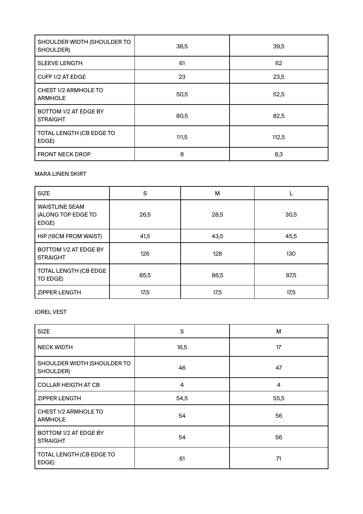| SHOULDER WIDTH (SHOULDER TO<br>SHOULDER) | 38,5  | 39,5  |
|------------------------------------------|-------|-------|
| <b>SLEEVE LENGTH</b>                     | 61    | 62    |
| CUFF 1/2 AT EDGE                         | 23    | 23,5  |
| CHEST 1/2 ARMHOLE TO<br><b>ARMHOLE</b>   | 50,5  | 52,5  |
| BOTTOM 1/2 AT EDGE BY<br><b>STRAIGHT</b> | 80,5  | 82,5  |
| TOTAL LENGTH (CB EDGE TO<br>EDGE)        | 111,5 | 112,5 |
| <b>FRONT NECK DROP</b>                   | 8     | 8,3   |

## MARA LINEN SKIRT

| <b>SIZE</b>                                          | S    | M    |      |
|------------------------------------------------------|------|------|------|
| <b>WAISTLINE SEAM</b><br>(ALONG TOP EDGE TO<br>EDGE) | 26,5 | 28,5 | 30,5 |
| HIP (18CM FROM WAIST)                                | 41,5 | 43,5 | 45,5 |
| BOTTOM 1/2 AT EDGE BY<br><b>STRAIGHT</b>             | 126  | 128  | 130  |
| TOTAL LENGTH (CB EDGE<br>TO EDGE)                    | 85,5 | 86,5 | 87,5 |
| <b>ZIPPER LENGTH</b>                                 | 17,5 | 17,5 | 17,5 |

# JOREL VEST

| <b>SIZE</b>                              | S              | М    |
|------------------------------------------|----------------|------|
| <b>NECK WIDTH</b>                        | 16,5           | 17   |
| SHOULDER WIDTH (SHOULDER TO<br>SHOULDER) | 46             | 47   |
| <b>COLLAR HEIGTH AT CB</b>               | $\overline{4}$ | 4    |
| <b>ZIPPER LENGTH</b>                     | 54,5           | 55,5 |
| CHEST 1/2 ARMHOLE TO<br><b>ARMHOLE</b>   | 54             | 56   |
| BOTTOM 1/2 AT EDGE BY<br><b>STRAIGHT</b> | 54             | 56   |
| TOTAL LENGTH (CB EDGE TO<br>EDGE)        | 61             | 71   |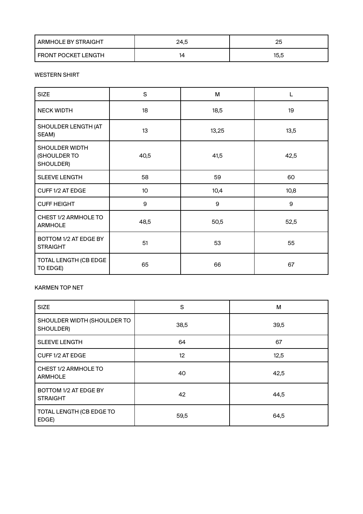| <b>ARMHOLE BY STRAIGHT</b> | 24,5 | 25   |
|----------------------------|------|------|
| I FRONT POCKET LENGTH      | 14   | 15.5 |

#### WESTERN SHIRT

| <b>SIZE</b>                                 | $\mathsf S$ | M     |      |
|---------------------------------------------|-------------|-------|------|
| <b>NECK WIDTH</b>                           | 18          | 18,5  | 19   |
| SHOULDER LENGTH (AT<br>SEAM)                | 13          | 13,25 | 13,5 |
| SHOULDER WIDTH<br>(SHOULDER TO<br>SHOULDER) | 40,5        | 41,5  | 42,5 |
| <b>SLEEVE LENGTH</b>                        | 58          | 59    | 60   |
| CUFF 1/2 AT EDGE                            | 10          | 10,4  | 10,8 |
| <b>CUFF HEIGHT</b>                          | 9           | 9     | 9    |
| CHEST 1/2 ARMHOLE TO<br><b>ARMHOLE</b>      | 48,5        | 50,5  | 52,5 |
| BOTTOM 1/2 AT EDGE BY<br><b>STRAIGHT</b>    | 51          | 53    | 55   |
| TOTAL LENGTH (CB EDGE<br>TO EDGE)           | 65          | 66    | 67   |

### KARMEN TOP NET

| <b>SIZE</b>                              | S               | м    |
|------------------------------------------|-----------------|------|
| SHOULDER WIDTH (SHOULDER TO<br>SHOULDER) | 38,5            | 39,5 |
| <b>SLEEVE LENGTH</b>                     | 64              | 67   |
| CUFF 1/2 AT EDGE                         | 12 <sup>2</sup> | 12,5 |
| CHEST 1/2 ARMHOLE TO<br><b>ARMHOLE</b>   | 40              | 42,5 |
| BOTTOM 1/2 AT EDGE BY<br><b>STRAIGHT</b> | 42              | 44,5 |
| TOTAL LENGTH (CB EDGE TO<br>EDGE)        | 59,5            | 64,5 |